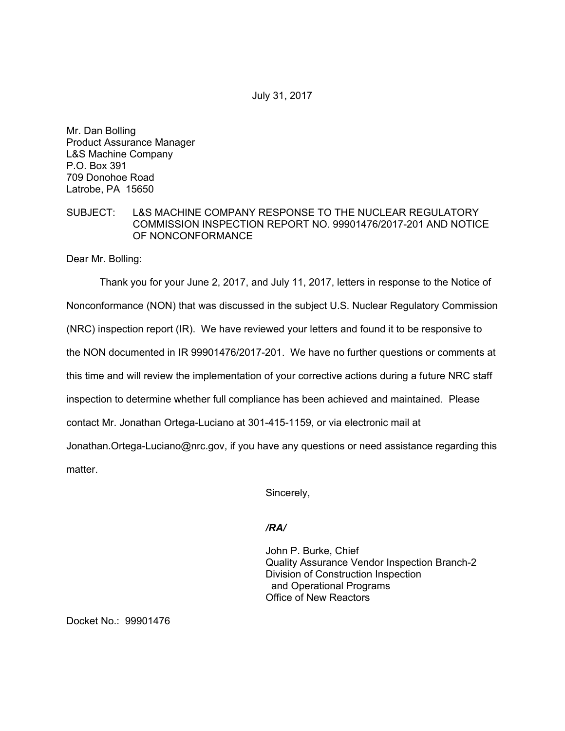July 31, 2017

Mr. Dan Bolling Product Assurance Manager L&S Machine Company P.O. Box 391 709 Donohoe Road Latrobe, PA 15650

## SUBJECT: L&S MACHINE COMPANY RESPONSE TO THE NUCLEAR REGULATORY COMMISSION INSPECTION REPORT NO. 99901476/2017-201 AND NOTICE OF NONCONFORMANCE

Dear Mr. Bolling:

Thank you for your June 2, 2017, and July 11, 2017, letters in response to the Notice of Nonconformance (NON) that was discussed in the subject U.S. Nuclear Regulatory Commission (NRC) inspection report (IR). We have reviewed your letters and found it to be responsive to the NON documented in IR 99901476/2017-201. We have no further questions or comments at this time and will review the implementation of your corrective actions during a future NRC staff inspection to determine whether full compliance has been achieved and maintained. Please contact Mr. Jonathan Ortega-Luciano at 301-415-1159, or via electronic mail at Jonathan.Ortega-Luciano@nrc.gov, if you have any questions or need assistance regarding this matter.

Sincerely,

## */RA/*

John P. Burke, Chief Quality Assurance Vendor Inspection Branch-2 Division of Construction Inspection and Operational Programs Office of New Reactors

Docket No.: 99901476